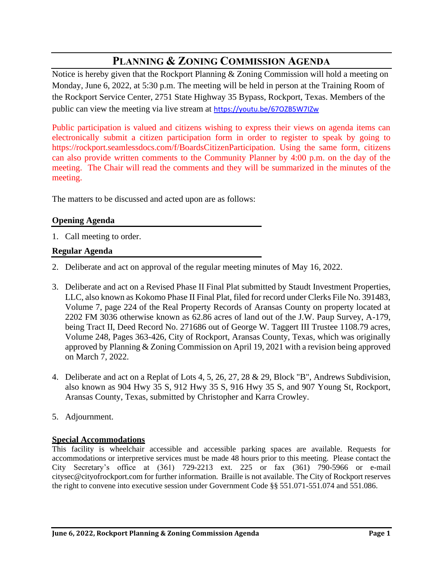# **PLANNING & ZONING COMMISSION AGENDA**

Notice is hereby given that the Rockport Planning & Zoning Commission will hold a meeting on Monday, June 6, 2022, at 5:30 p.m. The meeting will be held in person at the Training Room of the Rockport Service Center, 2751 State Highway 35 Bypass, Rockport, Texas. Members of the public can view the meeting via live stream at <https://youtu.be/67OZB5W7IZw>

Public participation is valued and citizens wishing to express their views on agenda items can electronically submit a citizen participation form in order to register to speak by going to https://rockport.seamlessdocs.com/f/BoardsCitizenParticipation. Using the same form, citizens can also provide written comments to the Community Planner by 4:00 p.m. on the day of the meeting. The Chair will read the comments and they will be summarized in the minutes of the meeting.

The matters to be discussed and acted upon are as follows:

#### **Opening Agenda**

1. Call meeting to order.

### **Regular Agenda**

- 2. Deliberate and act on approval of the regular meeting minutes of May 16, 2022.
- 3. Deliberate and act on a Revised Phase II Final Plat submitted by Staudt Investment Properties, LLC, also known as Kokomo Phase II Final Plat, filed for record under Clerks File No. 391483, Volume 7, page 224 of the Real Property Records of Aransas County on property located at 2202 FM 3036 otherwise known as 62.86 acres of land out of the J.W. Paup Survey, A-179, being Tract II, Deed Record No. 271686 out of George W. Taggert III Trustee 1108.79 acres, Volume 248, Pages 363-426, City of Rockport, Aransas County, Texas, which was originally approved by Planning & Zoning Commission on April 19, 2021 with a revision being approved on March 7, 2022.
- 4. Deliberate and act on a Replat of Lots 4, 5, 26, 27, 28 & 29, Block "B", Andrews Subdivision, also known as 904 Hwy 35 S, 912 Hwy 35 S, 916 Hwy 35 S, and 907 Young St, Rockport, Aransas County, Texas, submitted by Christopher and Karra Crowley.
- 5. Adjournment.

#### **Special Accommodations**

This facility is wheelchair accessible and accessible parking spaces are available. Requests for accommodations or interpretive services must be made 48 hours prior to this meeting. Please contact the City Secretary's office at (361) 729-2213 ext. 225 or fax (361) 790-5966 or e-mail citysec@cityofrockport.com for further information. Braille is not available. The City of Rockport reserves the right to convene into executive session under Government Code §§ 551.071-551.074 and 551.086.